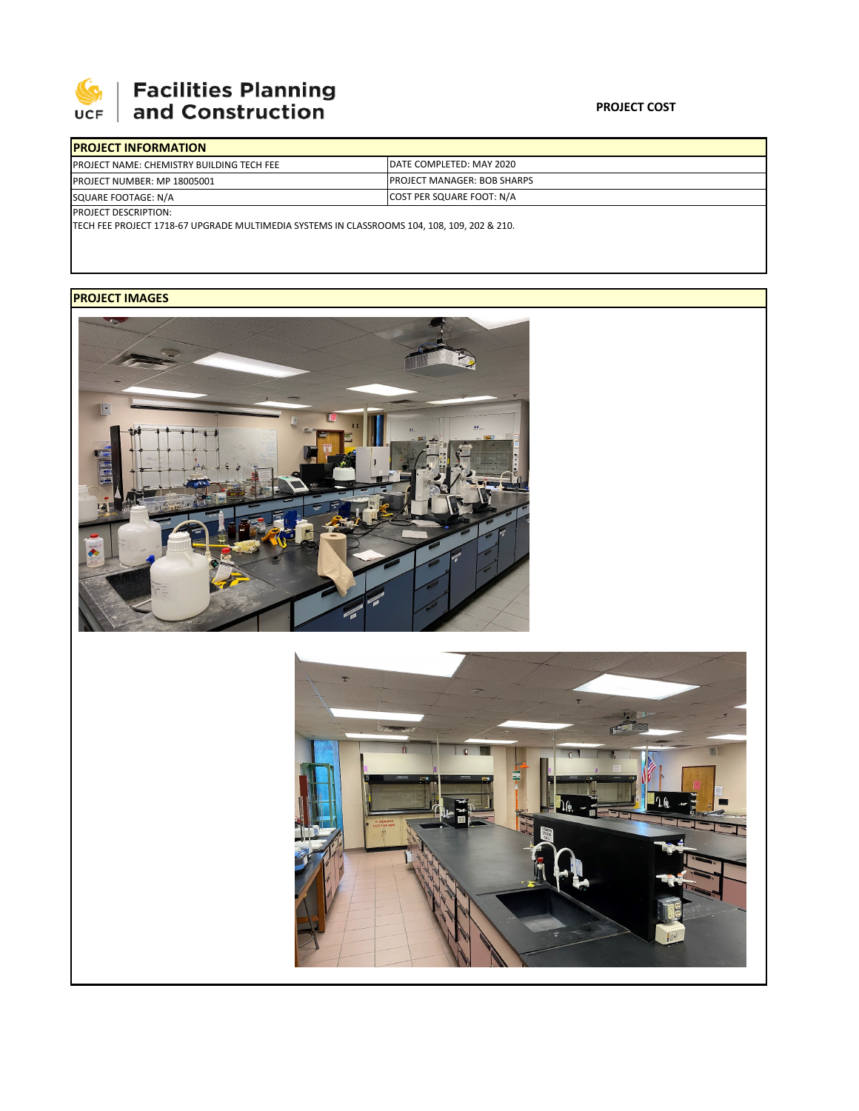

## | Facilities Planning<br>| and Construction

| <b>IPROJECT INFORMATION</b>                       |                                     |  |  |  |
|---------------------------------------------------|-------------------------------------|--|--|--|
| <b>IPROJECT NAME: CHEMISTRY BUILDING TECH FEE</b> | IDATE COMPLETED: MAY 2020           |  |  |  |
| <b>PROJECT NUMBER: MP 18005001</b>                | <b>IPROJECT MANAGER: BOB SHARPS</b> |  |  |  |
| SQUARE FOOTAGE: N/A                               | <b>COST PER SQUARE FOOT: N/A</b>    |  |  |  |
| <b>PROJECT DESCRIPTION:</b>                       |                                     |  |  |  |

TECH FEE PROJECT 1718‐67 UPGRADE MULTIMEDIA SYSTEMS IN CLASSROOMS 104, 108, 109, 202 & 210.

## **PROJECT IMAGES**